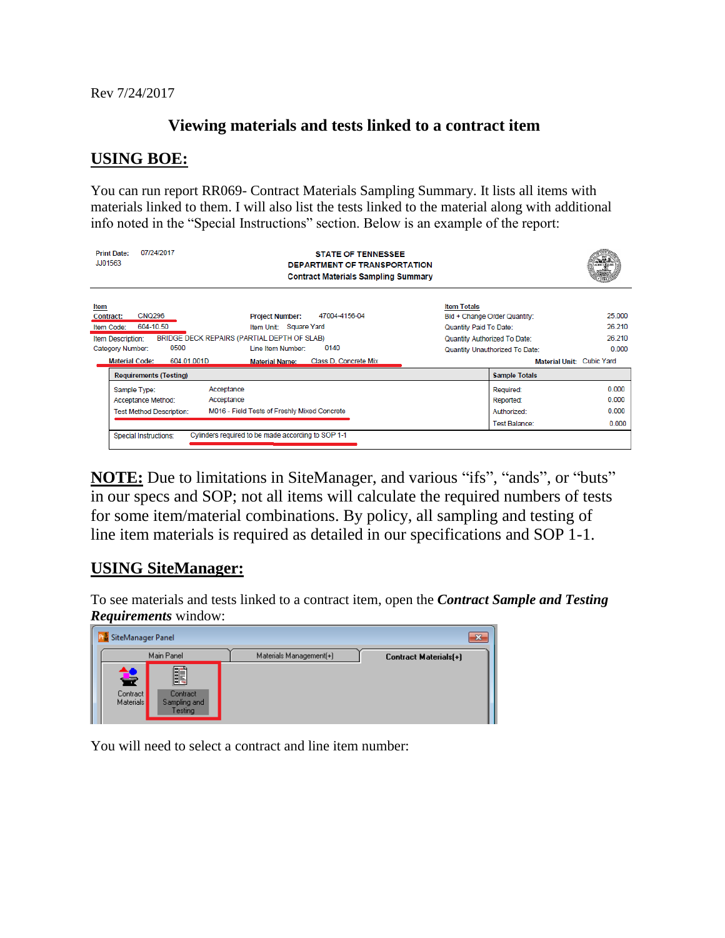Rev 7/24/2017

## **Viewing materials and tests linked to a contract item**

## **USING BOE:**

You can run report RR069- Contract Materials Sampling Summary. It lists all items with materials linked to them. I will also list the tests linked to the material along with additional info noted in the "Special Instructions" section. Below is an example of the report:

| 07/24/2017<br><b>Print Date:</b><br><b>STATE OF TENNESSEE</b><br><b>JJ01563</b><br>DEPARTMENT OF TRANSPORTATION<br><b>Contract Materials Sampling Summary</b>                                                                                                                                                                                             |                                                                                                                                                                             | AGENCYLICIA                         |
|-----------------------------------------------------------------------------------------------------------------------------------------------------------------------------------------------------------------------------------------------------------------------------------------------------------------------------------------------------------|-----------------------------------------------------------------------------------------------------------------------------------------------------------------------------|-------------------------------------|
| Item<br><b>CNQ296</b><br>47004-4156-04<br><b>Project Number:</b><br>Contract:<br>604-10.50<br>Item Unit: Square Yard<br>Item Code:<br>BRIDGE DECK REPAIRS (PARTIAL DEPTH OF SLAB)<br>Item Description:<br>0500<br>0140<br>Line Item Number:<br>Category Number:<br><b>Material Code:</b><br>604.01.001D<br>Class D. Concrete Mix<br><b>Material Name:</b> | <b>Item Totals</b><br>Bid + Change Order Quantity:<br>Quantity Paid To Date:<br>Quantity Authorized To Date:<br>Quantity Unauthorized To Date:<br>Material Unit: Cubic Yard | 25.000<br>26.210<br>26.210<br>0.000 |
| <b>Requirements (Testing)</b>                                                                                                                                                                                                                                                                                                                             | <b>Sample Totals</b>                                                                                                                                                        |                                     |
| Acceptance<br>Sample Type:<br>Acceptance<br>Acceptance Method:<br>M016 - Field Tests of Freshly Mixed Concrete<br><b>Test Method Description:</b><br>Cylinders required to be made according to SOP 1-1<br>Special Instructions:                                                                                                                          | Required:<br>Reported:<br>Authorized:<br>Test Balance:                                                                                                                      | 0.000<br>0.000<br>0.000<br>0.000    |
|                                                                                                                                                                                                                                                                                                                                                           |                                                                                                                                                                             |                                     |

**NOTE:** Due to limitations in SiteManager, and various "ifs", "ands", or "buts" in our specs and SOP; not all items will calculate the required numbers of tests for some item/material combinations. By policy, all sampling and testing of line item materials is required as detailed in our specifications and SOP 1-1.

## **USING SiteManager:**

To see materials and tests linked to a contract item, open the *Contract Sample and Testing Requirements* window:

| SiteManager Panel                                                               |                         | x                     |
|---------------------------------------------------------------------------------|-------------------------|-----------------------|
| Main Panel                                                                      | Materials Management(+) | Contract Materials[+] |
| <u>Fil</u><br>¥<br>Contract<br>Contract<br>Materials<br>Sampling and<br>Festing |                         |                       |

You will need to select a contract and line item number: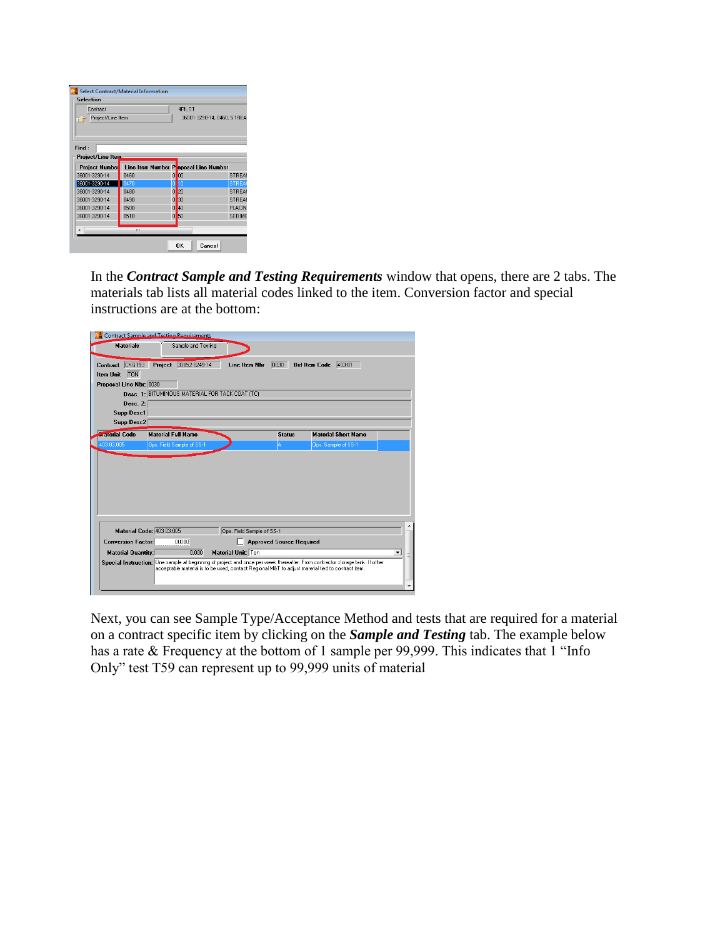| Contract                   |                                      | 4PILOT               |                            |
|----------------------------|--------------------------------------|----------------------|----------------------------|
| Project/Line Item          |                                      |                      | 36001-3290-14, 0460, STREA |
| Find:<br>Project/Line Item |                                      |                      |                            |
| <b>Project Number</b>      | Line Item Number Poposal Line Number |                      |                            |
| 36001-3290-14              | 0460                                 | 00<br>0              | STREAM                     |
| 36001-3290-14              | 0470                                 | 10<br>0              | <b>STREAT</b>              |
| 36001-3290-14              | 0480                                 | 20<br>0              | STREAM                     |
| 36001-3290-14              | 0490                                 | 30<br>0              | <b>STREAM</b>              |
| 36001-3290-14              | 0500                                 | $\overline{0}$<br>40 | <b>PLACIN</b>              |
| 36001-3290-14              | 0510                                 | $\Omega$<br>50       | <b>SEDIME</b>              |
|                            |                                      |                      |                            |

In the *Contract Sample and Testing Requirements* window that opens, there are 2 tabs. The materials tab lists all material codes linked to the item. Conversion factor and special instructions are at the bottom:

|                           | Contract Sample and Tecting Requirements        |                           |                                 |                                                                                                                              |                          |
|---------------------------|-------------------------------------------------|---------------------------|---------------------------------|------------------------------------------------------------------------------------------------------------------------------|--------------------------|
| <b>Materials</b>          | Sample and Testing                              |                           |                                 |                                                                                                                              |                          |
| CNQ193<br>Contract        | Project 33052-8249-14                           | Line Item Nbr             | 0030                            | Bid Item Code 403-01                                                                                                         |                          |
| <b>TON</b><br>Item Unit   |                                                 |                           |                                 |                                                                                                                              |                          |
| Proposal Line Nbr: 0030   |                                                 |                           |                                 |                                                                                                                              |                          |
|                           | Desc. 1: BITUMINOUS MATERIAL FOR TACK COAT (TC) |                           |                                 |                                                                                                                              |                          |
| Desc. 2:                  |                                                 |                           |                                 |                                                                                                                              |                          |
| <b>Supp Desc1</b>         |                                                 |                           |                                 |                                                                                                                              |                          |
| <b>Supp Desc2</b>         |                                                 |                           |                                 |                                                                                                                              |                          |
| <b>In aterial Code</b>    | <b>Material Full Name</b>                       |                           | <b>Status</b>                   | <b>Material Short Name</b>                                                                                                   |                          |
| 403.03.005                | Ops. Field Sample of SS-1                       |                           | A                               | Ops. Sample of SS-1                                                                                                          |                          |
|                           |                                                 |                           |                                 |                                                                                                                              |                          |
| Material Code: 403.03.005 |                                                 | Ops. Field Sample of SS-1 |                                 |                                                                                                                              |                          |
| <b>Conversion Factor:</b> | .00000                                          |                           | <b>Approved Source Required</b> |                                                                                                                              |                          |
| <b>Material Quantity:</b> | 0.000                                           | <b>Material Unit: Ton</b> |                                 | Special Instruction: One sample at beginning of project and once per week thereafter. From contractor storage tank. If other | $\overline{\phantom{a}}$ |

Next, you can see Sample Type/Acceptance Method and tests that are required for a material on a contract specific item by clicking on the *Sample and Testing* tab. The example below has a rate & Frequency at the bottom of 1 sample per 99,999. This indicates that 1 "Info Only" test T59 can represent up to 99,999 units of material